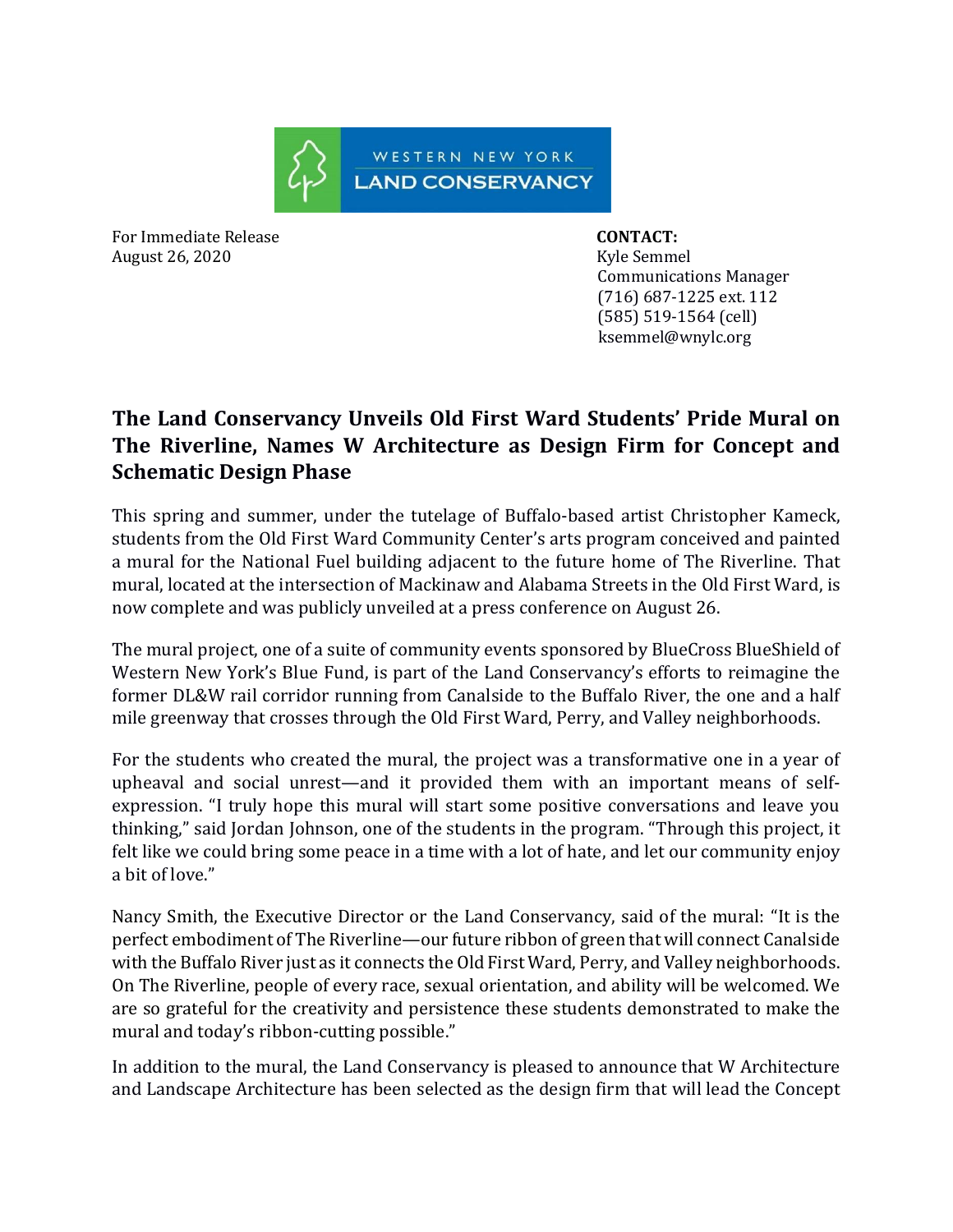

For Immediate Release **CONTACT:**  August 26, 2020 Kyle Semmel

 Communications Manager (716) 687-1225 ext. 112 (585) 519-1564 (cell) ksemmel@wnylc.org

## **The Land Conservancy Unveils Old First Ward Students' Pride Mural on The Riverline, Names W Architecture as Design Firm for Concept and Schematic Design Phase**

This spring and summer, under the tutelage of Buffalo-based artist Christopher Kameck, students from the Old First Ward Community Center's arts program conceived and painted a mural for the National Fuel building adjacent to the future home of The Riverline. That mural, located at the intersection of Mackinaw and Alabama Streets in the Old First Ward, is now complete and was publicly unveiled at a press conference on August 26.

The mural project, one of a suite of community events sponsored by BlueCross BlueShield of Western New York's Blue Fund, is part of the Land Conservancy's efforts to reimagine the former DL&W rail corridor running from Canalside to the Buffalo River, the one and a half mile greenway that crosses through the Old First Ward, Perry, and Valley neighborhoods.

For the students who created the mural, the project was a transformative one in a year of upheaval and social unrest—and it provided them with an important means of selfexpression. "I truly hope this mural will start some positive conversations and leave you thinking," said Jordan Johnson, one of the students in the program. "Through this project, it felt like we could bring some peace in a time with a lot of hate, and let our community enjoy a bit of love."

Nancy Smith, the Executive Director or the Land Conservancy, said of the mural: "It is the perfect embodiment of The Riverline—our future ribbon of green that will connect Canalside with the Buffalo River just as it connects the Old First Ward, Perry, and Valley neighborhoods. On The Riverline, people of every race, sexual orientation, and ability will be welcomed. We are so grateful for the creativity and persistence these students demonstrated to make the mural and today's ribbon-cutting possible."

In addition to the mural, the Land Conservancy is pleased to announce that W Architecture and Landscape Architecture has been selected as the design firm that will lead the Concept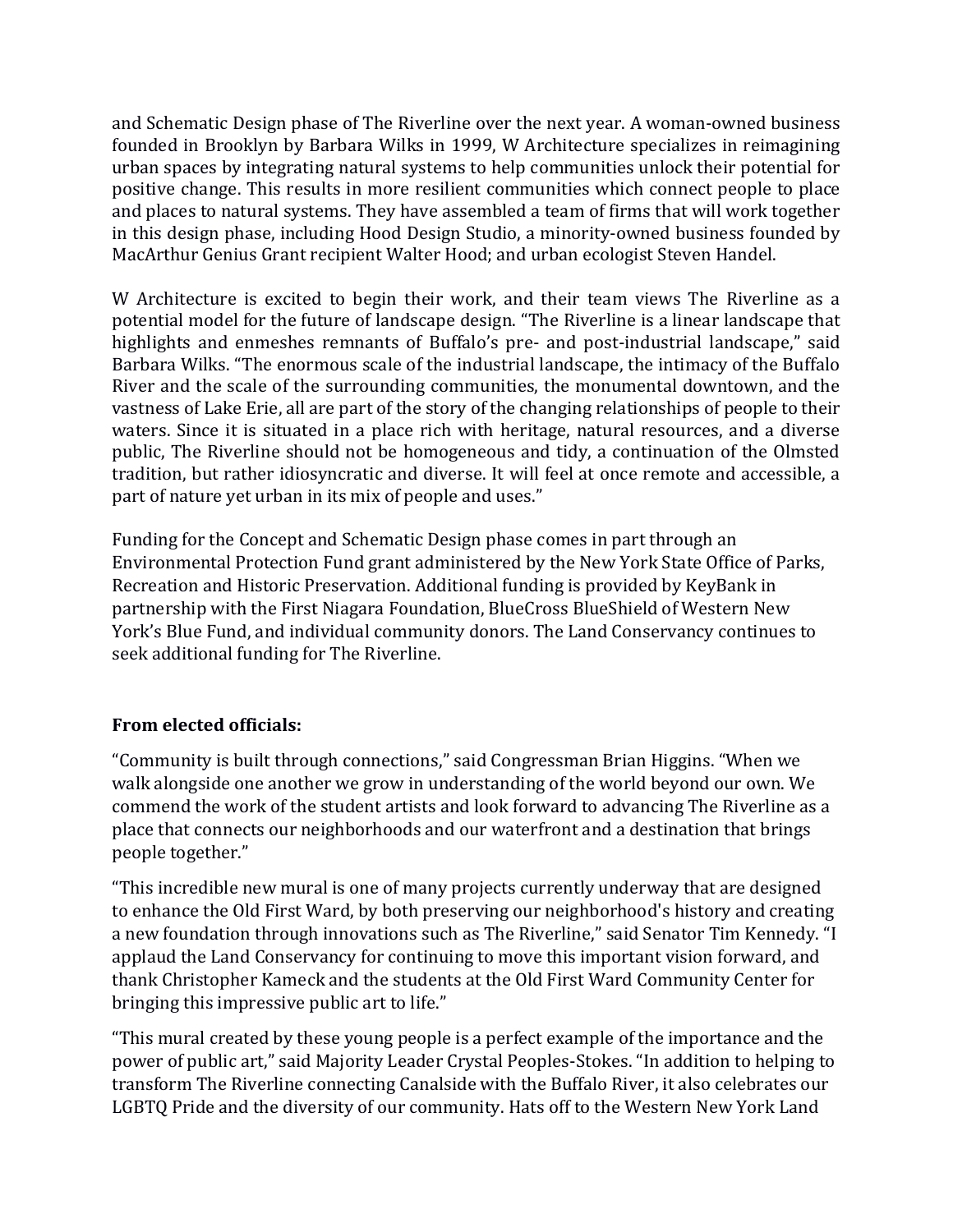and Schematic Design phase of The Riverline over the next year. A woman-owned business founded in Brooklyn by Barbara Wilks in 1999, W Architecture specializes in reimagining urban spaces by integrating natural systems to help communities unlock their potential for positive change. This results in more resilient communities which connect people to place and places to natural systems. They have assembled a team of firms that will work together in this design phase, including Hood Design Studio, a minority-owned business founded by MacArthur Genius Grant recipient Walter Hood; and urban ecologist Steven Handel.

W Architecture is excited to begin their work, and their team views The Riverline as a potential model for the future of landscape design. "The Riverline is a linear landscape that highlights and enmeshes remnants of Buffalo's pre- and post-industrial landscape," said Barbara Wilks. "The enormous scale of the industrial landscape, the intimacy of the Buffalo River and the scale of the surrounding communities, the monumental downtown, and the vastness of Lake Erie, all are part of the story of the changing relationships of people to their waters. Since it is situated in a place rich with heritage, natural resources, and a diverse public, The Riverline should not be homogeneous and tidy, a continuation of the Olmsted tradition, but rather idiosyncratic and diverse. It will feel at once remote and accessible, a part of nature yet urban in its mix of people and uses."

Funding for the Concept and Schematic Design phase comes in part through an Environmental Protection Fund grant administered by the New York State Office of Parks, Recreation and Historic Preservation. Additional funding is provided by KeyBank in partnership with the First Niagara Foundation, BlueCross BlueShield of Western New York's Blue Fund, and individual community donors. The Land Conservancy continues to seek additional funding for The Riverline.

## **From elected officials:**

"Community is built through connections," said Congressman Brian Higgins. "When we walk alongside one another we grow in understanding of the world beyond our own. We commend the work of the student artists and look forward to advancing The Riverline as a place that connects our neighborhoods and our waterfront and a destination that brings people together."

"This incredible new mural is one of many projects currently underway that are designed to enhance the Old First Ward, by both preserving our neighborhood's history and creating a new foundation through innovations such as The Riverline," said Senator Tim Kennedy. "I applaud the Land Conservancy for continuing to move this important vision forward, and thank Christopher Kameck and the students at the Old First Ward Community Center for bringing this impressive public art to life."

"This mural created by these young people is a perfect example of the importance and the power of public art," said Majority Leader Crystal Peoples-Stokes. "In addition to helping to transform The Riverline connecting Canalside with the Buffalo River, it also celebrates our LGBTQ Pride and the diversity of our community. Hats off to the Western New York Land